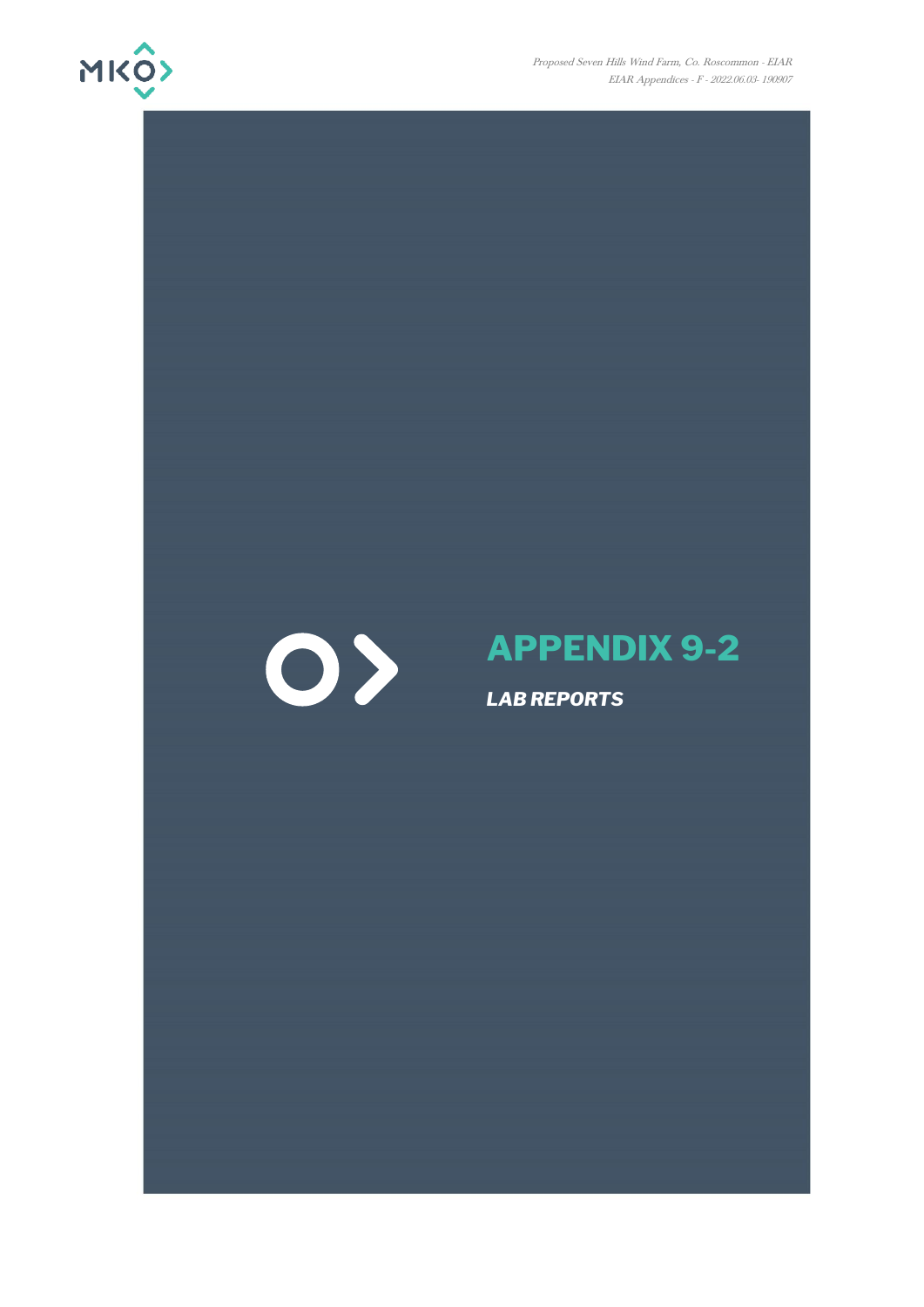

Proposed Seven Hills Wind Farm, Co. Roscommon - EIAR EIAR Appendices - F - 2022.06.03- 190907



# **APPENDIX 9-2**

*LAB REPORTS*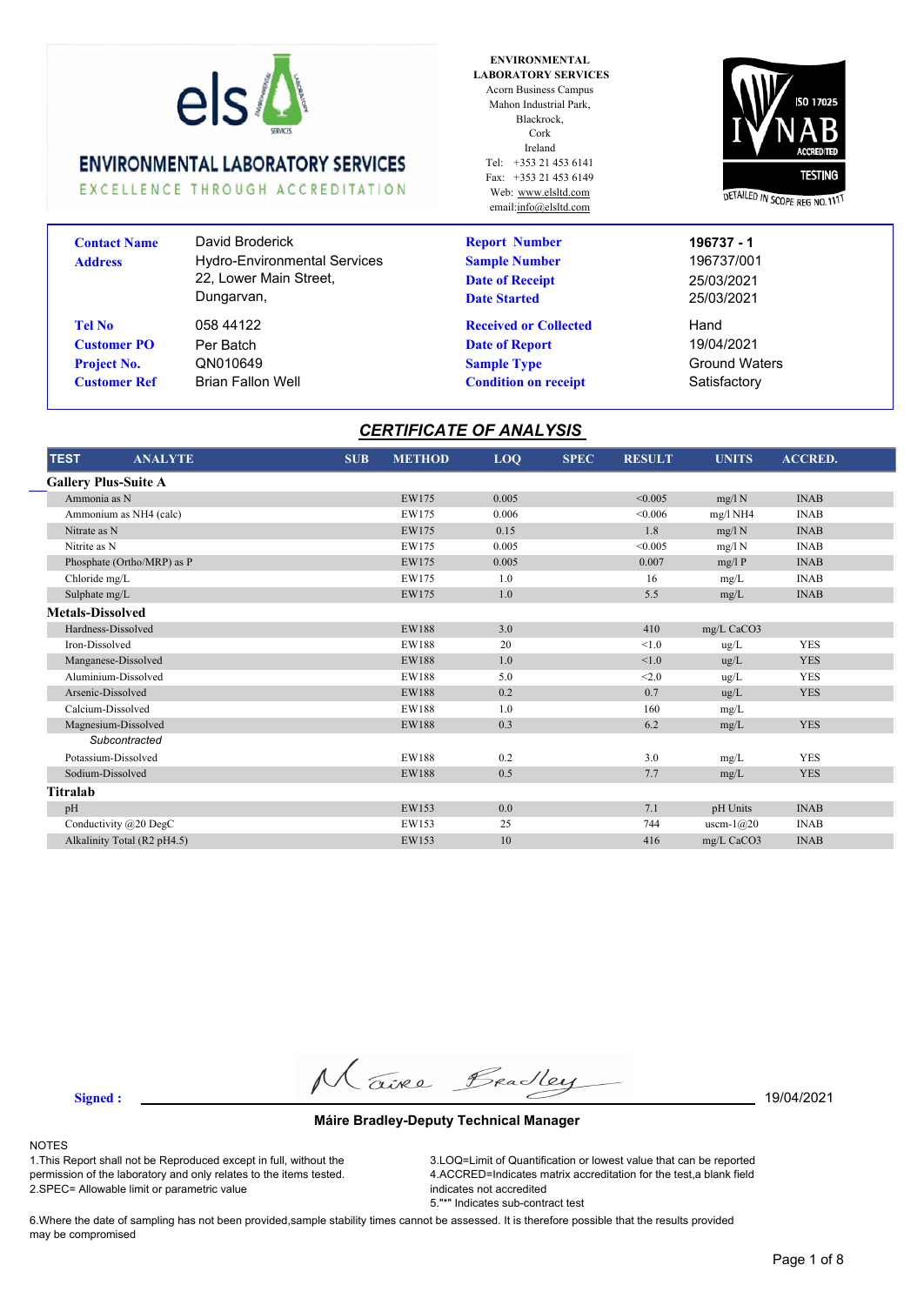

EXCELLENCE THROUGH ACCREDITATION

**ENVIRONMENTAL LABORATORY SERVICES** Acorn Business Campus Mahon Industrial Park, Blackrock, Cork Ireland  $Tel: +353214536141$ Fax: +353 21 453 6149 Web: www.elsltd.com email:info@elsltd.com



| David Broderick                     | <b>Report Number</b>         | 196737 - 1           |
|-------------------------------------|------------------------------|----------------------|
| <b>Hydro-Environmental Services</b> | <b>Sample Number</b>         | 196737/001           |
| 22, Lower Main Street,              | <b>Date of Receipt</b>       | 25/03/2021           |
| Dungarvan,                          | <b>Date Started</b>          | 25/03/2021           |
| 058 44122                           | <b>Received or Collected</b> | Hand                 |
| Per Batch                           | <b>Date of Report</b>        | 19/04/2021           |
| QN010649                            | <b>Sample Type</b>           | <b>Ground Waters</b> |
| <b>Brian Fallon Well</b>            | <b>Condition on receipt</b>  | Satisfactory         |
|                                     |                              |                      |

### *CERTIFICATE OF ANALYSIS*

| <b>TEST</b>                 | <b>ANALYTE</b> | <b>SUB</b> | <b>METHOD</b> | LOQ   | <b>SPEC</b> | <b>RESULT</b> | <b>UNITS</b> | <b>ACCRED.</b> |
|-----------------------------|----------------|------------|---------------|-------|-------------|---------------|--------------|----------------|
| <b>Gallery Plus-Suite A</b> |                |            |               |       |             |               |              |                |
| Ammonia as N                |                |            | EW175         | 0.005 |             | < 0.005       | mg/l N       | <b>INAB</b>    |
| Ammonium as NH4 (calc)      |                |            | EW175         | 0.006 |             | < 0.006       | $mg/l$ NH4   | <b>INAB</b>    |
| Nitrate as N                |                |            | EW175         | 0.15  |             | 1.8           | mg/l N       | <b>INAB</b>    |
| Nitrite as N                |                |            | EW175         | 0.005 |             | < 0.005       | mg/l N       | <b>INAB</b>    |
| Phosphate (Ortho/MRP) as P  |                |            | EW175         | 0.005 |             | 0.007         | mg/lP        | <b>INAB</b>    |
| Chloride mg/L               |                |            | EW175         | 1.0   |             | 16            | mg/L         | <b>INAB</b>    |
| Sulphate mg/L               |                |            | EW175         | 1.0   |             | 5.5           | mg/L         | <b>INAB</b>    |
| <b>Metals-Dissolved</b>     |                |            |               |       |             |               |              |                |
| Hardness-Dissolved          |                |            | <b>EW188</b>  | 3.0   |             | 410           | mg/L CaCO3   |                |
| Iron-Dissolved              |                |            | EW188         | 20    |             | < 1.0         | ug/L         | <b>YES</b>     |
| Manganese-Dissolved         |                |            | <b>EW188</b>  | 1.0   |             | < 1.0         | ug/L         | <b>YES</b>     |
| Aluminium-Dissolved         |                |            | EW188         | 5.0   |             | < 2.0         | ug/L         | <b>YES</b>     |
| Arsenic-Dissolved           |                |            | <b>EW188</b>  | 0.2   |             | 0.7           | ug/L         | <b>YES</b>     |
| Calcium-Dissolved           |                |            | EW188         | 1.0   |             | 160           | mg/L         |                |
| Magnesium-Dissolved         |                |            | <b>EW188</b>  | 0.3   |             | 6.2           | mg/L         | <b>YES</b>     |
| Subcontracted               |                |            |               |       |             |               |              |                |
| Potassium-Dissolved         |                |            | EW188         | 0.2   |             | 3.0           | mg/L         | <b>YES</b>     |
| Sodium-Dissolved            |                |            | <b>EW188</b>  | 0.5   |             | 7.7           | mg/L         | <b>YES</b>     |
| Titralab                    |                |            |               |       |             |               |              |                |
| pH                          |                |            | EW153         | 0.0   |             | 7.1           | pH Units     | <b>INAB</b>    |
| Conductivity $@20$ DegC     |                |            | EW153         | 25    |             | 744           | uscm- $1@20$ | <b>INAB</b>    |
| Alkalinity Total (R2 pH4.5) |                |            | EW153         | 10    |             | 416           | mg/L CaCO3   | <b>INAB</b>    |

**Signed :** 19/04/2021

#### **Máire Bradley-Deputy Technical Manager**

#### NOTES

1.This Report shall not be Reproduced except in full, without the permission of the laboratory and only relates to the items tested. 2.SPEC= Allowable limit or parametric value

3.LOQ=Limit of Quantification or lowest value that can be reported 4.ACCRED=Indicates matrix accreditation for the test,a blank field indicates not accredited 5."\*" Indicates sub-contract test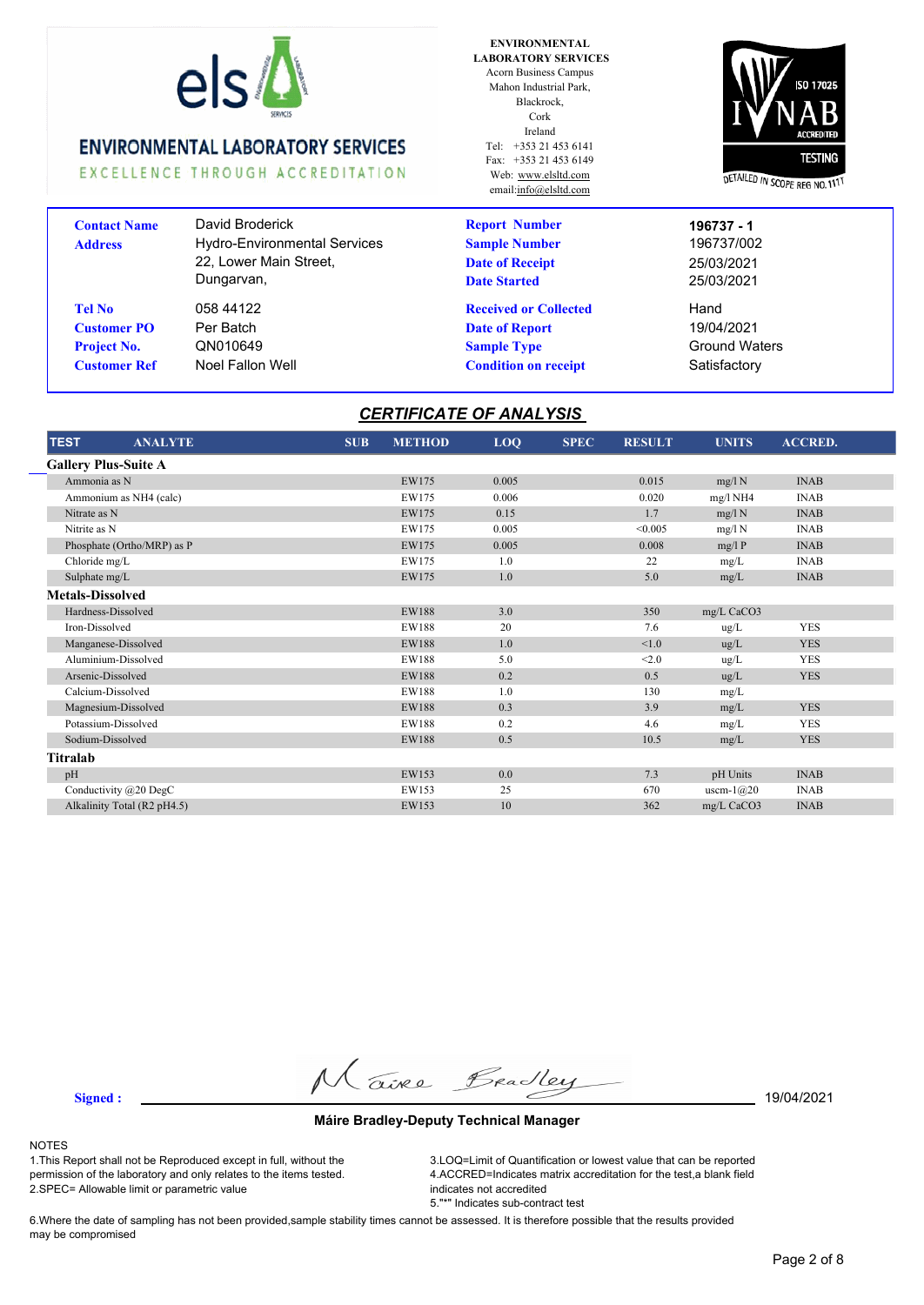

EXCELLENCE THROUGH ACCREDITATION

| <b>Contact Name</b><br><b>Address</b>                                     | David Broderick<br><b>Hydro-Environmental Services</b><br>22, Lower Main Street,<br>Dungarvan, |
|---------------------------------------------------------------------------|------------------------------------------------------------------------------------------------|
| Tel No<br><b>Customer PO</b><br><b>Project No.</b><br><b>Customer Ref</b> | 058 44122<br>Per Batch<br>QN010649<br>Noel Fallon Well                                         |

**ENVIRONMENTAL LABORATORY SERVICES** Acorn Business Campus Mahon Industrial Park, Blackrock, Cork Ireland Tel: +353 21 453 6141 Fax: +353 21 453 6149 Web: www.elsltd.com email:info@elsltd.com

**Report Number**

**Sample Number**

**Date of Receipt Date Started**

**Received or Collected Date of Report**

**Condition on receipt** Satisfactory



25/03/2021 Hand **Sample Type** Ground Waters 19/04/2021 196737/002 25/03/2021 **196737 - 1**

# *CERTIFICATE OF ANALYSIS*

| <b>TEST</b><br><b>ANALYTE</b> | <b>SUB</b> | <b>METHOD</b> | LOQ   | <b>SPEC</b> | <b>RESULT</b> | <b>UNITS</b> | <b>ACCRED.</b> |  |
|-------------------------------|------------|---------------|-------|-------------|---------------|--------------|----------------|--|
| <b>Gallery Plus-Suite A</b>   |            |               |       |             |               |              |                |  |
| Ammonia as N                  |            | EW175         | 0.005 |             | 0.015         | mg/l N       | <b>INAB</b>    |  |
| Ammonium as NH4 (calc)        |            | EW175         | 0.006 |             | 0.020         | $mg/l$ NH4   | <b>INAB</b>    |  |
| Nitrate as N                  |            | EW175         | 0.15  |             | 1.7           | mg/l N       | <b>INAB</b>    |  |
| Nitrite as N                  |            | EW175         | 0.005 |             | < 0.005       | mg/l N       | <b>INAB</b>    |  |
| Phosphate (Ortho/MRP) as P    |            | EW175         | 0.005 |             | 0.008         | mg/lP        | <b>INAB</b>    |  |
| Chloride mg/L                 |            | EW175         | 1.0   |             | 22            | mg/L         | <b>INAB</b>    |  |
| Sulphate mg/L                 |            | EW175         | 1.0   |             | 5.0           | mg/L         | <b>INAB</b>    |  |
| <b>Metals-Dissolved</b>       |            |               |       |             |               |              |                |  |
| Hardness-Dissolved            |            | <b>EW188</b>  | 3.0   |             | 350           | mg/L CaCO3   |                |  |
| Iron-Dissolved                |            | EW188         | 20    |             | 7.6           | ug/L         | <b>YES</b>     |  |
| Manganese-Dissolved           |            | <b>EW188</b>  | 1.0   |             | < 1.0         | ug/L         | <b>YES</b>     |  |
| Aluminium-Dissolved           |            | <b>EW188</b>  | 5.0   |             | < 2.0         | ug/L         | <b>YES</b>     |  |
| Arsenic-Dissolved             |            | <b>EW188</b>  | 0.2   |             | 0.5           | ug/L         | <b>YES</b>     |  |
| Calcium-Dissolved             |            | <b>EW188</b>  | 1.0   |             | 130           | mg/L         |                |  |
| Magnesium-Dissolved           |            | <b>EW188</b>  | 0.3   |             | 3.9           | mg/L         | <b>YES</b>     |  |
| Potassium-Dissolved           |            | EW188         | 0.2   |             | 4.6           | mg/L         | <b>YES</b>     |  |
| Sodium-Dissolved              |            | <b>EW188</b>  | 0.5   |             | 10.5          | mg/L         | <b>YES</b>     |  |
| Titralab                      |            |               |       |             |               |              |                |  |
| pH                            |            | EW153         | 0.0   |             | 7.3           | pH Units     | <b>INAB</b>    |  |
| Conductivity @20 DegC         |            | EW153         | 25    |             | 670           | uscm- $1@20$ | <b>INAB</b>    |  |
| Alkalinity Total (R2 pH4.5)   |            | EW153         | 10    |             | 362           | mg/L CaCO3   | <b>INAB</b>    |  |

**Signed :** 19/04/2021

#### **Máire Bradley-Deputy Technical Manager**

#### NOTES

1.This Report shall not be Reproduced except in full, without the permission of the laboratory and only relates to the items tested. 2.SPEC= Allowable limit or parametric value

3.LOQ=Limit of Quantification or lowest value that can be reported 4.ACCRED=Indicates matrix accreditation for the test,a blank field indicates not accredited 5."\*" Indicates sub-contract test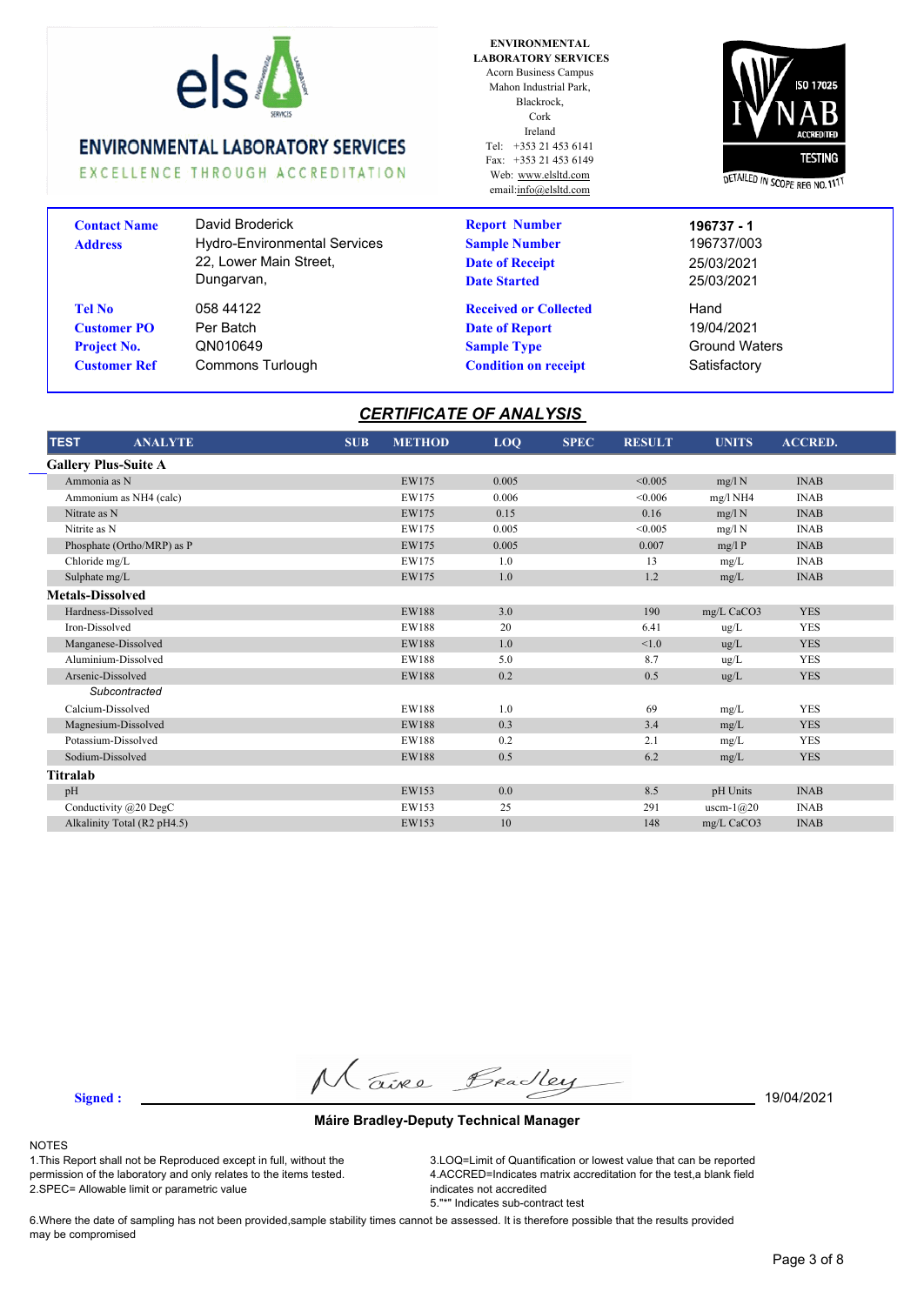

EXCELLENCE THROUGH ACCREDITATION

| <b>Contact Name</b><br><b>Address</b> | David Broderick<br><b>Hydro-Environmental Services</b><br>22, Lower Main Street,<br>Dungarvan, |
|---------------------------------------|------------------------------------------------------------------------------------------------|
| <b>Tel No</b>                         | 058 44122                                                                                      |
| <b>Customer PO</b>                    | Per Batch                                                                                      |
| <b>Project No.</b>                    | QN010649                                                                                       |
| <b>Customer Ref</b>                   | Commons Turlough                                                                               |

**ENVIRONMENTAL LABORATORY SERVICES** Acorn Business Campus Mahon Industrial Park, Blackrock, Cork Ireland Tel: +353 21 453 6141 Fax: +353 21 453 6149 Web: www.elsltd.com email:info@elsltd.com

**Report Number**

**Sample Number**

**Date of Receipt Date Started**

**Received or Collected Date of Report**

**Condition on receipt** Satisfactory



25/03/2021 Hand **Sample Type** Ground Waters 19/04/2021 196737/003 25/03/2021 **196737 - 1**

# *CERTIFICATE OF ANALYSIS*

| <b>TEST</b><br><b>ANALYTE</b> | <b>SUB</b> | <b>METHOD</b> | LOQ   | <b>SPEC</b> | <b>RESULT</b> | <b>UNITS</b> | <b>ACCRED.</b> |  |
|-------------------------------|------------|---------------|-------|-------------|---------------|--------------|----------------|--|
| <b>Gallery Plus-Suite A</b>   |            |               |       |             |               |              |                |  |
| Ammonia as N                  |            | EW175         | 0.005 |             | < 0.005       | mg/l N       | <b>INAB</b>    |  |
| Ammonium as NH4 (calc)        |            | EW175         | 0.006 |             | < 0.006       | $mg/l$ NH4   | <b>INAB</b>    |  |
| Nitrate as N                  |            | EW175         | 0.15  |             | 0.16          | mg/l N       | <b>INAB</b>    |  |
| Nitrite as N                  |            | EW175         | 0.005 |             | < 0.005       | mg/l N       | <b>INAB</b>    |  |
| Phosphate (Ortho/MRP) as P    |            | EW175         | 0.005 |             | 0.007         | mg/lP        | <b>INAB</b>    |  |
| Chloride mg/L                 |            | EW175         | 1.0   |             | 13            | mg/L         | <b>INAB</b>    |  |
| Sulphate mg/L                 |            | EW175         | 1.0   |             | 1.2           | mg/L         | <b>INAB</b>    |  |
| <b>Metals-Dissolved</b>       |            |               |       |             |               |              |                |  |
| Hardness-Dissolved            |            | <b>EW188</b>  | 3.0   |             | 190           | mg/L CaCO3   | <b>YES</b>     |  |
| Iron-Dissolved                |            | <b>EW188</b>  | 20    |             | 6.41          | ug/L         | <b>YES</b>     |  |
| Manganese-Dissolved           |            | <b>EW188</b>  | 1.0   |             | < 1.0         | $\mu$ g/L    | <b>YES</b>     |  |
| Aluminium-Dissolved           |            | <b>EW188</b>  | 5.0   |             | 8.7           | ug/L         | <b>YES</b>     |  |
| Arsenic-Dissolved             |            | <b>EW188</b>  | 0.2   |             | 0.5           | ug/L         | <b>YES</b>     |  |
| Subcontracted                 |            |               |       |             |               |              |                |  |
| Calcium-Dissolved             |            | EW188         | 1.0   |             | 69            | mg/L         | <b>YES</b>     |  |
| Magnesium-Dissolved           |            | <b>EW188</b>  | 0.3   |             | 3.4           | mg/L         | <b>YES</b>     |  |
| Potassium-Dissolved           |            | <b>EW188</b>  | 0.2   |             | 2.1           | mg/L         | <b>YES</b>     |  |
| Sodium-Dissolved              |            | <b>EW188</b>  | 0.5   |             | 6.2           | mg/L         | <b>YES</b>     |  |
| Titralab                      |            |               |       |             |               |              |                |  |
| pH                            |            | EW153         | 0.0   |             | 8.5           | pH Units     | <b>INAB</b>    |  |
| Conductivity @20 DegC         |            | EW153         | 25    |             | 291           | uscm- $1@20$ | <b>INAB</b>    |  |
| Alkalinity Total (R2 pH4.5)   |            | EW153         | 10    |             | 148           | mg/L CaCO3   | <b>INAB</b>    |  |

**Signed :** 19/04/2021

#### **Máire Bradley-Deputy Technical Manager**

#### NOTES

1.This Report shall not be Reproduced except in full, without the permission of the laboratory and only relates to the items tested. 2.SPEC= Allowable limit or parametric value

3.LOQ=Limit of Quantification or lowest value that can be reported 4.ACCRED=Indicates matrix accreditation for the test,a blank field indicates not accredited 5."\*" Indicates sub-contract test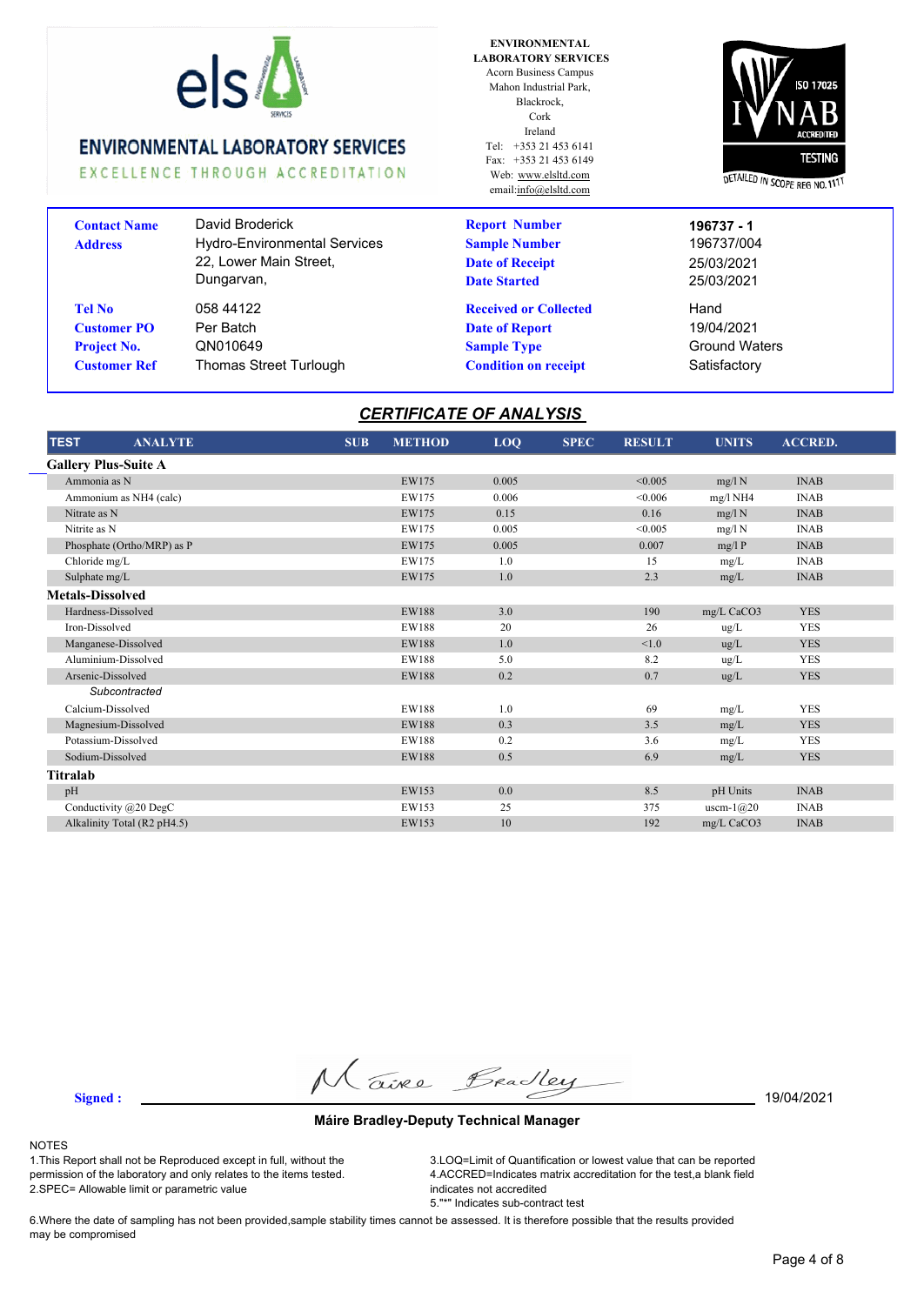

EXCELLENCE THROUGH ACCREDITATION

| <b>Contact Name</b><br><b>Address</b>                                            | David Broderick<br><b>Hydro-Environmental Services</b><br>22, Lower Main Street,<br>Dungarvan, |
|----------------------------------------------------------------------------------|------------------------------------------------------------------------------------------------|
| <b>Tel No</b><br><b>Customer PO</b><br><b>Project No.</b><br><b>Customer Ref</b> | 058 44122<br>Per Batch<br>QN010649<br><b>Thomas Street Turlough</b>                            |
|                                                                                  |                                                                                                |

**ENVIRONMENTAL LABORATORY SERVICES** Acorn Business Campus Mahon Industrial Park, Blackrock, Cork Ireland Tel: +353 21 453 6141 Fax: +353 21 453 6149 Web: www.elsltd.com email:info@elsltd.com

**Report Number**

**Sample Number**

**Date of Receipt Date Started**

**Received or Collected Date of Report**

**Condition on receipt** Satisfactory



25/03/2021 Hand **Sample Type** Ground Waters 19/04/2021 196737/004 25/03/2021 **196737 - 1**

### *CERTIFICATE OF ANALYSIS*

| <b>TEST</b><br><b>ANALYTE</b> | <b>SUB</b> | <b>METHOD</b> | LOQ   | <b>SPEC</b> | <b>RESULT</b> | <b>UNITS</b> | <b>ACCRED.</b> |  |
|-------------------------------|------------|---------------|-------|-------------|---------------|--------------|----------------|--|
| <b>Gallery Plus-Suite A</b>   |            |               |       |             |               |              |                |  |
| Ammonia as N                  |            | EW175         | 0.005 |             | < 0.005       | mg/l N       | <b>INAB</b>    |  |
| Ammonium as NH4 (calc)        |            | EW175         | 0.006 |             | < 0.006       | mg/l NH4     | <b>INAB</b>    |  |
| Nitrate as N                  |            | EW175         | 0.15  |             | 0.16          | mg/l N       | <b>INAB</b>    |  |
| Nitrite as N                  |            | EW175         | 0.005 |             | < 0.005       | mg/l N       | <b>INAB</b>    |  |
| Phosphate (Ortho/MRP) as P    |            | EW175         | 0.005 |             | 0.007         | mg/lP        | <b>INAB</b>    |  |
| Chloride mg/L                 |            | EW175         | 1.0   |             | 15            | mg/L         | <b>INAB</b>    |  |
| Sulphate mg/L                 |            | EW175         | 1.0   |             | 2.3           | mg/L         | <b>INAB</b>    |  |
| <b>Metals-Dissolved</b>       |            |               |       |             |               |              |                |  |
| Hardness-Dissolved            |            | <b>EW188</b>  | 3.0   |             | 190           | mg/L CaCO3   | <b>YES</b>     |  |
| Iron-Dissolved                |            | EW188         | 20    |             | 26            | ug/L         | <b>YES</b>     |  |
| Manganese-Dissolved           |            | <b>EW188</b>  | 1.0   |             | < 1.0         | $\mu$ g/L    | <b>YES</b>     |  |
| Aluminium-Dissolved           |            | EW188         | 5.0   |             | 8.2           | $\mu$ g/L    | <b>YES</b>     |  |
| Arsenic-Dissolved             |            | <b>EW188</b>  | 0.2   |             | 0.7           | ug/L         | <b>YES</b>     |  |
| Subcontracted                 |            |               |       |             |               |              |                |  |
| Calcium-Dissolved             |            | <b>EW188</b>  | 1.0   |             | 69            | mg/L         | <b>YES</b>     |  |
| Magnesium-Dissolved           |            | <b>EW188</b>  | 0.3   |             | 3.5           | mg/L         | <b>YES</b>     |  |
| Potassium-Dissolved           |            | <b>EW188</b>  | 0.2   |             | 3.6           | mg/L         | <b>YES</b>     |  |
| Sodium-Dissolved              |            | <b>EW188</b>  | 0.5   |             | 6.9           | mg/L         | <b>YES</b>     |  |
| Titralab                      |            |               |       |             |               |              |                |  |
| pH                            |            | EW153         | 0.0   |             | 8.5           | pH Units     | <b>INAB</b>    |  |
| Conductivity @20 DegC         |            | EW153         | 25    |             | 375           | uscm- $1@20$ | <b>INAB</b>    |  |
| Alkalinity Total (R2 pH4.5)   |            | EW153         | 10    |             | 192           | mg/L CaCO3   | <b>INAB</b>    |  |

**Signed :** 19/04/2021

#### **Máire Bradley-Deputy Technical Manager**

#### NOTES

1.This Report shall not be Reproduced except in full, without the permission of the laboratory and only relates to the items tested. 2.SPEC= Allowable limit or parametric value

3.LOQ=Limit of Quantification or lowest value that can be reported 4.ACCRED=Indicates matrix accreditation for the test,a blank field indicates not accredited 5."\*" Indicates sub-contract test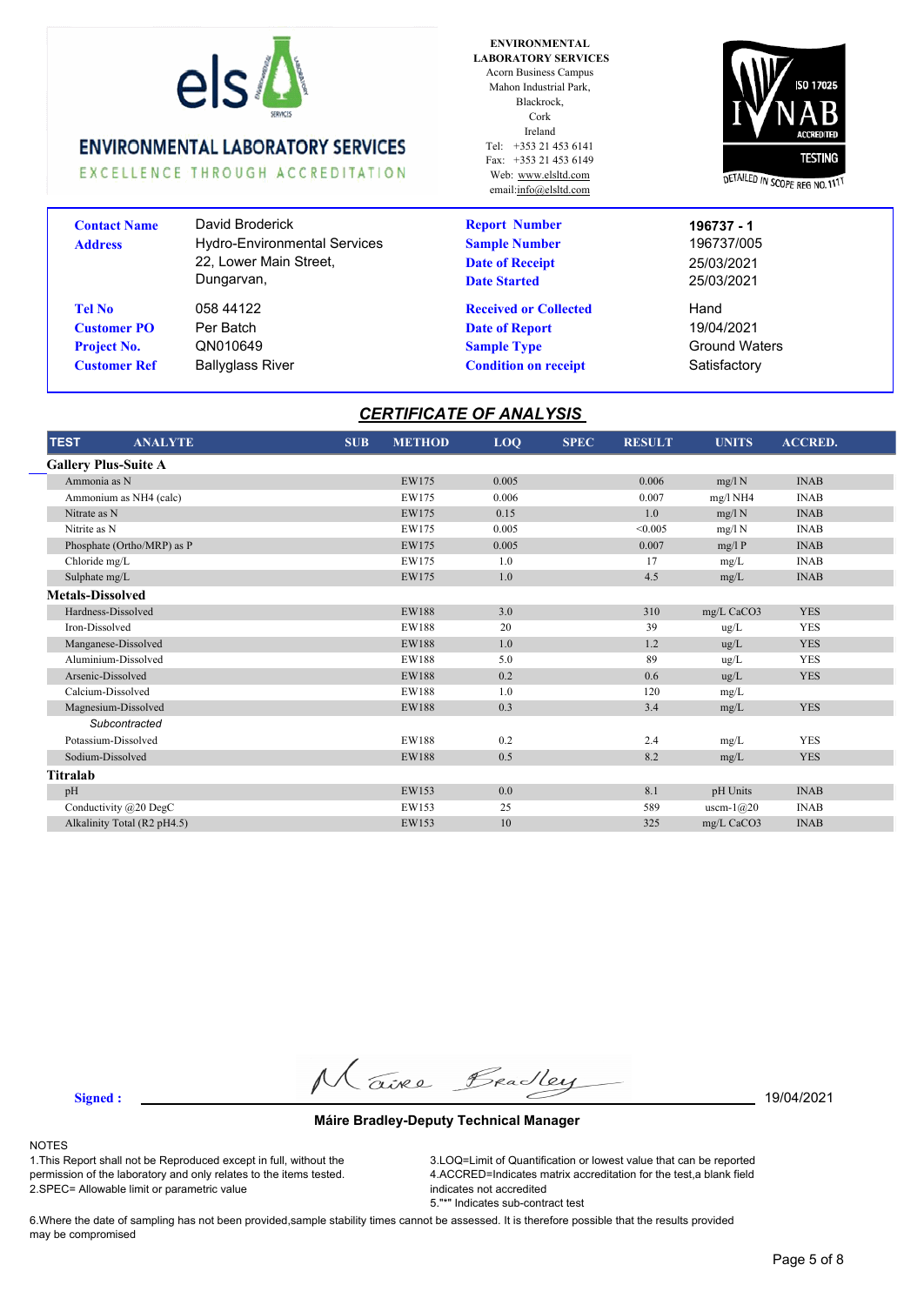

EXCELLENCE THROUGH ACCREDITATION

### **Address Customer PO Customer Ref** Ballyglass River **Contact Name** David Broderick Hydro-Environmental Services 22, Lower Main Street, Dungarvan, **Tel No** 058 44122 QN010649 Per Batch **Project No.**

**ENVIRONMENTAL LABORATORY SERVICES** Acorn Business Campus Mahon Industrial Park, Blackrock, Cork Ireland Tel: +353 21 453 6141 Fax: +353 21 453 6149 Web: www.elsltd.com email:info@elsltd.com

**Report Number**

**Sample Number**

**Date of Receipt Date Started**

**Received or Collected Date of Report**



25/03/2021 Hand 196737/005 25/03/2021 **196737 - 1**

**Sample Type** Ground Waters 19/04/2021 **Condition on receipt** Satisfactory

# *CERTIFICATE OF ANALYSIS*

| <b>TEST</b><br><b>ANALYTE</b> | <b>SUB</b> | <b>METHOD</b> | LOQ   | <b>SPEC</b> | <b>RESULT</b> | <b>UNITS</b> | <b>ACCRED.</b> |  |
|-------------------------------|------------|---------------|-------|-------------|---------------|--------------|----------------|--|
| <b>Gallery Plus-Suite A</b>   |            |               |       |             |               |              |                |  |
| Ammonia as N                  |            | EW175         | 0.005 |             | 0.006         | mg/l N       | <b>INAB</b>    |  |
| Ammonium as NH4 (calc)        |            | EW175         | 0.006 |             | 0.007         | $mg/l$ NH4   | <b>INAB</b>    |  |
| Nitrate as N                  |            | EW175         | 0.15  |             | 1.0           | mg/l N       | <b>INAB</b>    |  |
| Nitrite as N                  |            | EW175         | 0.005 |             | < 0.005       | mg/l N       | <b>INAB</b>    |  |
| Phosphate (Ortho/MRP) as P    |            | EW175         | 0.005 |             | 0.007         | mg/lP        | <b>INAB</b>    |  |
| Chloride mg/L                 |            | EW175         | 1.0   |             | 17            | mg/L         | <b>INAB</b>    |  |
| Sulphate mg/L                 |            | EW175         | 1.0   |             | 4.5           | mg/L         | <b>INAB</b>    |  |
| <b>Metals-Dissolved</b>       |            |               |       |             |               |              |                |  |
| Hardness-Dissolved            |            | <b>EW188</b>  | 3.0   |             | 310           | mg/L CaCO3   | <b>YES</b>     |  |
| Iron-Dissolved                |            | <b>EW188</b>  | 20    |             | 39            | ug/L         | <b>YES</b>     |  |
| Manganese-Dissolved           |            | <b>EW188</b>  | 1.0   |             | 1.2           | ug/L         | <b>YES</b>     |  |
| Aluminium-Dissolved           |            | EW188         | 5.0   |             | 89            | ug/L         | <b>YES</b>     |  |
| Arsenic-Dissolved             |            | <b>EW188</b>  | 0.2   |             | 0.6           | ug/L         | <b>YES</b>     |  |
| Calcium-Dissolved             |            | <b>EW188</b>  | 1.0   |             | 120           | mg/L         |                |  |
| Magnesium-Dissolved           |            | <b>EW188</b>  | 0.3   |             | 3.4           | mg/L         | <b>YES</b>     |  |
| Subcontracted                 |            |               |       |             |               |              |                |  |
| Potassium-Dissolved           |            | <b>EW188</b>  | 0.2   |             | 2.4           | mg/L         | <b>YES</b>     |  |
| Sodium-Dissolved              |            | <b>EW188</b>  | 0.5   |             | 8.2           | mg/L         | <b>YES</b>     |  |
| Titralab                      |            |               |       |             |               |              |                |  |
| pH                            |            | EW153         | 0.0   |             | 8.1           | pH Units     | <b>INAB</b>    |  |
| Conductivity @20 DegC         |            | EW153         | 25    |             | 589           | uscm- $1@20$ | <b>INAB</b>    |  |
| Alkalinity Total (R2 pH4.5)   |            | EW153         | 10    |             | 325           | mg/L CaCO3   | <b>INAB</b>    |  |

**Signed :** 19/04/2021

#### **Máire Bradley-Deputy Technical Manager**

#### NOTES

1.This Report shall not be Reproduced except in full, without the permission of the laboratory and only relates to the items tested. 2.SPEC= Allowable limit or parametric value

3.LOQ=Limit of Quantification or lowest value that can be reported 4.ACCRED=Indicates matrix accreditation for the test,a blank field indicates not accredited 5."\*" Indicates sub-contract test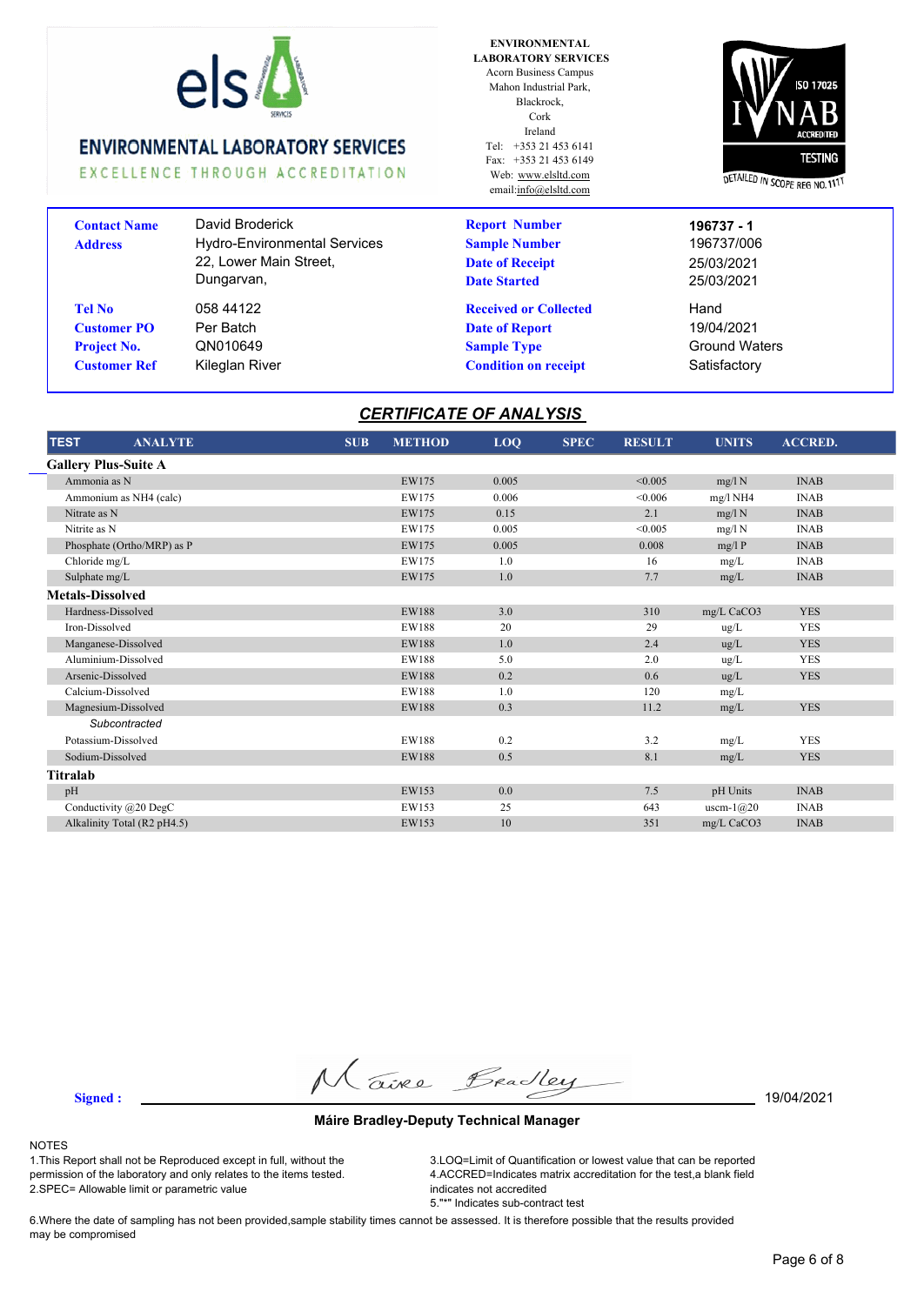

EXCELLENCE THROUGH ACCREDITATION

### **Address Customer PO Customer Ref** Kileglan River **Contact Name** David Broderick Hydro-Environmental Services 22, Lower Main Street, Dungarvan, **Tel No** 058 44122 QN010649 Per Batch **Project No.**

**ENVIRONMENTAL LABORATORY SERVICES** Acorn Business Campus Mahon Industrial Park, Blackrock, Cork Ireland Tel: +353 21 453 6141 Fax: +353 21 453 6149 Web: www.elsltd.com email:info@elsltd.com

**Report Number**

**Sample Number**

**Date of Receipt Date Started**

**Received or Collected Date of Report**



25/03/2021 Hand 19/04/2021 196737/006 25/03/2021 **196737 - 1**

**Sample Type** Ground Waters **Condition on receipt** Satisfactory

# *CERTIFICATE OF ANALYSIS*

| <b>TEST</b><br><b>ANALYTE</b> | <b>SUB</b> | <b>METHOD</b> | LOQ   | <b>SPEC</b> | <b>RESULT</b> | <b>UNITS</b> | <b>ACCRED.</b> |  |
|-------------------------------|------------|---------------|-------|-------------|---------------|--------------|----------------|--|
| <b>Gallery Plus-Suite A</b>   |            |               |       |             |               |              |                |  |
| Ammonia as N                  |            | EW175         | 0.005 |             | < 0.005       | mg/l N       | <b>INAB</b>    |  |
| Ammonium as NH4 (calc)        |            | EW175         | 0.006 |             | < 0.006       | mg/l NH4     | <b>INAB</b>    |  |
| Nitrate as N                  |            | EW175         | 0.15  |             | 2.1           | mg/l N       | <b>INAB</b>    |  |
| Nitrite as N                  |            | EW175         | 0.005 |             | < 0.005       | mg/l N       | <b>INAB</b>    |  |
| Phosphate (Ortho/MRP) as P    |            | EW175         | 0.005 |             | 0.008         | mg/lP        | <b>INAB</b>    |  |
| Chloride mg/L                 |            | EW175         | 1.0   |             | 16            | mg/L         | <b>INAB</b>    |  |
| Sulphate mg/L                 |            | EW175         | 1.0   |             | 7.7           | mg/L         | <b>INAB</b>    |  |
| <b>Metals-Dissolved</b>       |            |               |       |             |               |              |                |  |
| Hardness-Dissolved            |            | <b>EW188</b>  | 3.0   |             | 310           | mg/L CaCO3   | <b>YES</b>     |  |
| Iron-Dissolved                |            | <b>EW188</b>  | 20    |             | 29            | ug/L         | <b>YES</b>     |  |
| Manganese-Dissolved           |            | <b>EW188</b>  | 1.0   |             | 2.4           | $\mu$ g/L    | <b>YES</b>     |  |
| Aluminium-Dissolved           |            | <b>EW188</b>  | 5.0   |             | 2.0           | ug/L         | <b>YES</b>     |  |
| Arsenic-Dissolved             |            | <b>EW188</b>  | 0.2   |             | 0.6           | ug/L         | <b>YES</b>     |  |
| Calcium-Dissolved             |            | <b>EW188</b>  | 1.0   |             | 120           | mg/L         |                |  |
| Magnesium-Dissolved           |            | <b>EW188</b>  | 0.3   |             | 11.2          | mg/L         | <b>YES</b>     |  |
| Subcontracted                 |            |               |       |             |               |              |                |  |
| Potassium-Dissolved           |            | <b>EW188</b>  | 0.2   |             | 3.2           | mg/L         | <b>YES</b>     |  |
| Sodium-Dissolved              |            | <b>EW188</b>  | 0.5   |             | 8.1           | mg/L         | <b>YES</b>     |  |
| Titralab                      |            |               |       |             |               |              |                |  |
| pH                            |            | EW153         | 0.0   |             | 7.5           | pH Units     | <b>INAB</b>    |  |
| Conductivity $(a)20$ DegC     |            | EW153         | 25    |             | 643           | uscm- $1@20$ | <b>INAB</b>    |  |
| Alkalinity Total (R2 pH4.5)   |            | EW153         | 10    |             | 351           | mg/L CaCO3   | <b>INAB</b>    |  |

**Signed :** 19/04/2021

#### **Máire Bradley-Deputy Technical Manager**

#### NOTES

1.This Report shall not be Reproduced except in full, without the permission of the laboratory and only relates to the items tested. 2.SPEC= Allowable limit or parametric value

3.LOQ=Limit of Quantification or lowest value that can be reported 4.ACCRED=Indicates matrix accreditation for the test,a blank field indicates not accredited 5."\*" Indicates sub-contract test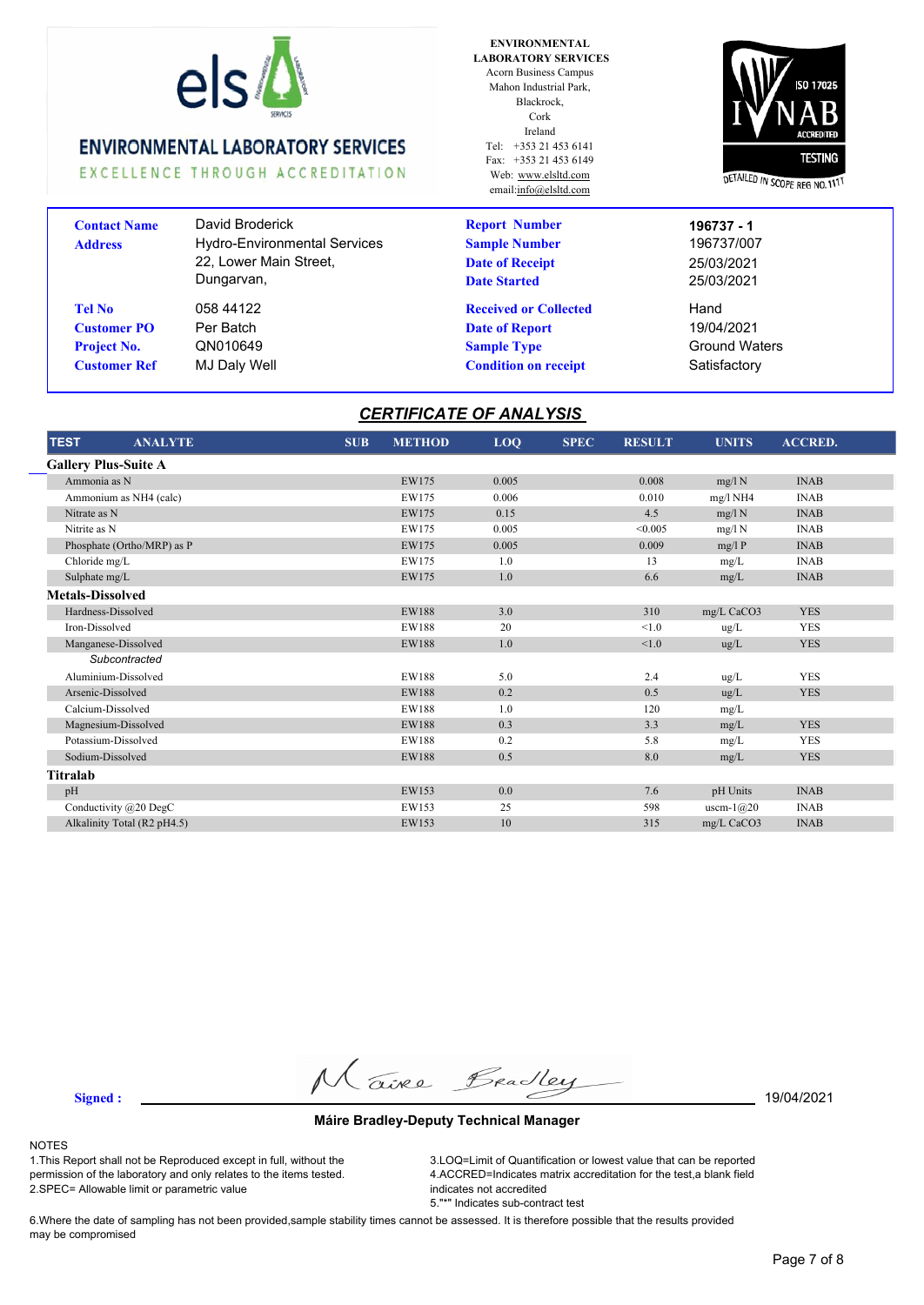

EXCELLENCE THROUGH ACCREDITATION

### Blackrock, Cork Ireland Tel: +353 21 453 6141 Fax: +353 21 453 6149 Web: www.elsltd.com email:info@elsltd.com

**ENVIRONMENTAL LABORATORY SERVICES** Acorn Business Campus Mahon Industrial Park,



| <b>Contact Name</b><br><b>Address</b> | David Broderick<br><b>Hydro-Environmental Services</b><br>22, Lower Main Street,<br>Dungarvan, | <b>Report Number</b><br><b>Sample Number</b><br><b>Date of Receipt</b><br><b>Date Started</b> | 196737 - 1<br>196737/007<br>25/03/2021<br>25/03/2021 |
|---------------------------------------|------------------------------------------------------------------------------------------------|-----------------------------------------------------------------------------------------------|------------------------------------------------------|
| <b>Tel No</b>                         | 058 44122                                                                                      | <b>Received or Collected</b>                                                                  | Hand                                                 |
| <b>Customer PO</b>                    | Per Batch                                                                                      | <b>Date of Report</b>                                                                         | 19/04/2021                                           |
| <b>Project No.</b>                    | QN010649                                                                                       | <b>Sample Type</b>                                                                            | <b>Ground Waters</b>                                 |
| <b>Customer Ref</b>                   | MJ Daly Well                                                                                   | <b>Condition on receipt</b>                                                                   | Satisfactory                                         |

### *CERTIFICATE OF ANALYSIS*

| <b>TEST</b><br><b>ANALYTE</b> | <b>SUB</b> | <b>METHOD</b> | LOQ   | <b>SPEC</b> | <b>RESULT</b> | <b>UNITS</b> | <b>ACCRED.</b> |  |
|-------------------------------|------------|---------------|-------|-------------|---------------|--------------|----------------|--|
| <b>Gallery Plus-Suite A</b>   |            |               |       |             |               |              |                |  |
| Ammonia as N                  |            | EW175         | 0.005 |             | 0.008         | mg/l N       | <b>INAB</b>    |  |
| Ammonium as NH4 (calc)        |            | EW175         | 0.006 |             | 0.010         | $mg/l$ NH4   | <b>INAB</b>    |  |
| Nitrate as N                  |            | EW175         | 0.15  |             | 4.5           | mg/l N       | <b>INAB</b>    |  |
| Nitrite as N                  |            | EW175         | 0.005 |             | < 0.005       | $mg/l$ N     | <b>INAB</b>    |  |
| Phosphate (Ortho/MRP) as P    |            | EW175         | 0.005 |             | 0.009         | mg/lP        | <b>INAB</b>    |  |
| Chloride mg/L                 |            | EW175         | 1.0   |             | 13            | mg/L         | <b>INAB</b>    |  |
| Sulphate mg/L                 |            | EW175         | 1.0   |             | 6.6           | mg/L         | <b>INAB</b>    |  |
| <b>Metals-Dissolved</b>       |            |               |       |             |               |              |                |  |
| Hardness-Dissolved            |            | <b>EW188</b>  | 3.0   |             | 310           | mg/L CaCO3   | <b>YES</b>     |  |
| Iron-Dissolved                |            | <b>EW188</b>  | 20    |             | < 1.0         | ug/L         | <b>YES</b>     |  |
| Manganese-Dissolved           |            | <b>EW188</b>  | 1.0   |             | < 1.0         | ug/L         | <b>YES</b>     |  |
| Subcontracted                 |            |               |       |             |               |              |                |  |
| Aluminium-Dissolved           |            | EW188         | 5.0   |             | 2.4           | ug/L         | <b>YES</b>     |  |
| Arsenic-Dissolved             |            | <b>EW188</b>  | 0.2   |             | 0.5           | ug/L         | <b>YES</b>     |  |
| Calcium-Dissolved             |            | EW188         | 1.0   |             | 120           | mg/L         |                |  |
| Magnesium-Dissolved           |            | <b>EW188</b>  | 0.3   |             | 3.3           | mg/L         | <b>YES</b>     |  |
| Potassium-Dissolved           |            | EW188         | 0.2   |             | 5.8           | mg/L         | <b>YES</b>     |  |
| Sodium-Dissolved              |            | <b>EW188</b>  | 0.5   |             | 8.0           | mg/L         | <b>YES</b>     |  |
| Titralab                      |            |               |       |             |               |              |                |  |
| pH                            |            | EW153         | 0.0   |             | 7.6           | pH Units     | <b>INAB</b>    |  |
| Conductivity $(a)20$ DegC     |            | EW153         | 25    |             | 598           | uscm- $1@20$ | <b>INAB</b>    |  |
| Alkalinity Total (R2 pH4.5)   |            | EW153         | 10    |             | 315           | mg/L CaCO3   | <b>INAB</b>    |  |

**Signed :** 19/04/2021

#### **Máire Bradley-Deputy Technical Manager**

#### NOTES

1.This Report shall not be Reproduced except in full, without the permission of the laboratory and only relates to the items tested. 2.SPEC= Allowable limit or parametric value

3.LOQ=Limit of Quantification or lowest value that can be reported 4.ACCRED=Indicates matrix accreditation for the test,a blank field indicates not accredited 5."\*" Indicates sub-contract test